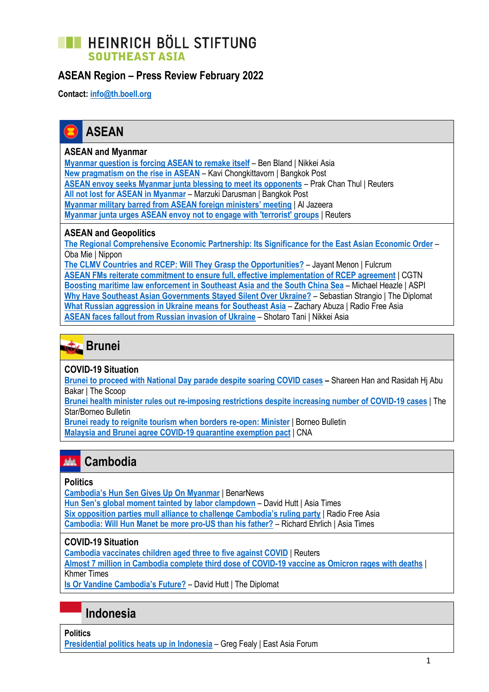### **TE HEINRICH BÖLL STIFTUNG SOUTHEAST ASIA**

### **ASEAN Region – Press Review February 2022**

**Contact: [info@th.boell.org](mailto:info@th.boell.org?subject=Political%20overview%20ASEAN)**



#### **ASEAN and Myanmar**

**[Myanmar question is forcing ASEAN to remake itself](https://asia.nikkei.com/Opinion/Myanmar-question-is-forcing-ASEAN-to-remake-itself)** – Ben Bland | Nikkei Asia **[New pragmatism on the rise in ASEAN](https://www.bangkokpost.com/opinion/opinion/2267943/new-pragmatism-on-the-rise-in-asean)** – Kavi Chongkittavorn | Bangkok Post **[ASEAN envoy seeks Myanmar junta blessing to meet its opponents](https://www.reuters.com/world/asia-pacific/myanmar-crisis-overshadow-asean-foreign-ministers-talks-2022-02-16/)** – Prak Chan Thul | Reuters **[All not lost for ASEAN](https://www.bangkokpost.com/opinion/opinion/2264255/all-not-lost-for-asean-in-myanmar) in Myanmar** – Marzuki Darusman | Bangkok Post **[Myanmar military barred from ASEAN foreign ministers' meeting](https://www.aljazeera.com/news/2022/2/3/myanmar-military-barred-from-asean-foreign-ministers-meeting)** | Al Jazeera **[Myanmar junta urges ASEAN envoy not to engage with 'terrorist' groups](https://www.reuters.com/world/asia-pacific/myanmar-junta-urges-asean-envoy-not-engage-with-terrorist-groups-2022-02-21/)** | Reuters

#### **ASEAN and Geopolitics**

**[The Regional Comprehensive Economic Partnership: Its Significance for the East Asian Economic Order](https://www.nippon.com/en/in-depth/d00782/)** – Oba Mie | Nippon

**[The CLMV Countries and RCEP: Will They Grasp the Opportunities?](https://fulcrum.sg/the-clmv-countries-and-rcep-will-they-grasp-the-opportunities/)** – Jayant Menon | Fulcrum **[ASEAN FMs reiterate commitment to ensure full, effective implementation of RCEP agreement](https://news.cgtn.com/news/2022-02-17/ASEAN-FMs-meet-on-COVID-19-pandemic-inclusive-economic-recovery-17IRbvkSwPS/index.html)** | CGTN **[Boosting maritime law enforcement in Southeast Asia and the South China Sea](https://www.aspistrategist.org.au/boosting-maritime-law-enforcement-in-southeast-asia-and-the-south-china-sea/)** – Michael Heazle | ASPI [Why Have Southeast Asian Governments Stayed Silent Over Ukraine?](https://thediplomat.com/2022/02/why-have-southeast-asian-governments-stayed-silent-over-ukraine/) - Sebastian Strangio | The Diplomat **[What Russian aggression in Ukraine means for Southeast Asia](https://www.rfa.org/english/commentaries/russia-ukraine-seasia-02232022072643.html)** – Zachary Abuza | Radio Free Asia **[ASEAN faces fallout from Russian invasion of Ukraine](https://asia.nikkei.com/Politics/Ukraine-conflict/ASEAN-faces-fallout-from-Russian-invasion-of-Ukraine)** – Shotaro Tani | Nikkei Asia



#### **COVID-19 Situation**

**[Brunei to proceed with National Day parade despite soaring COVID cases](https://thescoop.co/2022/02/19/brunei-to-proceed-with-national-day-parade-despite-soaring-covid-cases/) –** Shareen Han and Rasidah Hj Abu Bakar | The Scoop

**[Brunei health minister rules out re-imposing restrictions despite increasing number of COVID-19 cases](https://www.thestar.com.my/aseanplus/aseanplus-news/2022/02/27/brunei-health-minister-rules-out-re-imposing-restrictions-despite-increasing-number-of-covid-19-cases)** | The Star/Borneo Bulletin

**[Brunei ready to reignite tourism when borders re-open: Minister](https://borneobulletin.com.bn/brunei-ready-to-reignite-tourism-when-borders-re-open-minister/)** | Borneo Bulletin **[Malaysia and Brunei agree COVID-19 quarantine exemption pact](https://www.channelnewsasia.com/asia/malaysia-brunei-agree-covid-19-quarantine-exemption-vtl-2499896)** | CNA

#### **Cambodia** adak -

#### **Politics**

**[Cambodia's Hun Sen Gives Up On Myanmar](https://www.benarnews.org/english/news/indonesian/cambodias-hun-sen-gives-up-on-myanmar-02162022183113.html)** | BenarNews **[Hun Sen's global moment tainted by labor clampdown](https://asiatimes.com/2022/02/hun-sens-global-moment-tainted-by-labor-clampdown/)** – David Hutt | Asia Times **[Six opposition parties mull alliance to challenge Cambodia's ruling party](https://www.rfa.org/english/news/cambodia/alliance-02092022234300.html)** | Radio Free Asia **[Cambodia: Will Hun Manet be more pro-US than his father?](https://asiatimes.com/2022/02/cambodia-will-hun-manet-be-more-pro-us-than-his-father/)** – Richard Ehrlich | Asia Times

#### **COVID-19 Situation**

**[Cambodia vaccinates children aged three to five against COVID](https://www.reuters.com/business/healthcare-pharmaceuticals/cambodia-vaccinates-children-aged-three-five-against-covid-2022-02-23/)** | Reuters **[Almost 7 million in Cambodia complete third dose of COVID-19 vaccine as Omicron rages with deaths](https://www.khmertimeskh.com/501032382/almost-7-million-in-cambodia-complete-third-dose-of-covid-19-vaccine-as-omicron-rages-with-deaths/)** | Khmer Times

**[Is Or Vandine Cambodia's Future?](https://thediplomat.com/2022/02/is-or-vandine-cambodias-future/)** – David Hutt | The Diplomat

### **Indonesia**

**Politics [Presidential politics heats up in Indonesia](https://www.eastasiaforum.org/2022/02/13/presidential-politics-heats-up-in-indonesia/)** – Greg Fealy | East Asia Forum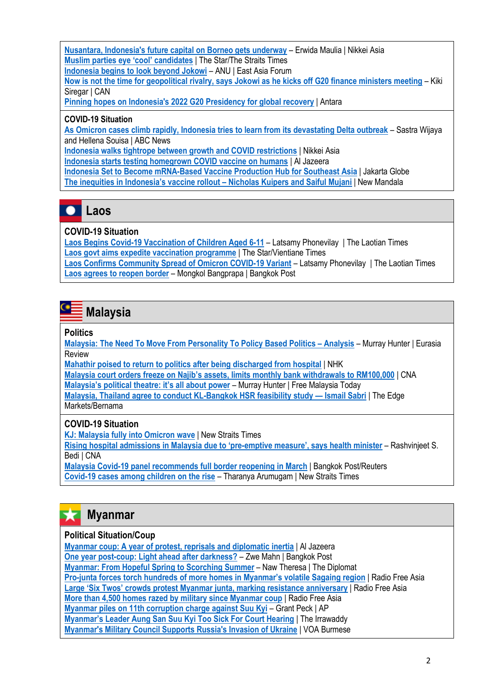**[Nusantara, Indonesia's future capital on Borneo gets underway](https://asia.nikkei.com/Politics/Nusantara-Indonesia-s-future-capital-on-Borneo-gets-underway)** – Erwida Maulia | Nikkei Asia **[Muslim parties eye 'cool' candidates](https://www.thestar.com.my/aseanplus/aseanplus-news/2022/02/03/muslim-parties-eye-cool-candidates)** | The Star/The Straits Times **[Indonesia begins to look beyond Jokowi](https://www.eastasiaforum.org/2022/02/14/indonesia-begins-to-look-beyond-jokowi/)** – ANU | East Asia Forum **[Now is not the time for geopolitical rivalry, says Jokowi as he kicks off G20 finance ministers meeting](https://www.channelnewsasia.com/asia/indonesia-g20-joko-widodo-ukraine-geopolitical-tension-rivalry-2503651)** – Kiki Siregar | CAN **[Pinning hopes on Indonesia's 2022 G20 Presidency for global recovery](https://en.antaranews.com/news/212869/pinning-hopes-on-indonesias-2022-g20-presidency-for-global-recovery)** | Antara

#### **COVID-19 Situation**

**[As Omicron cases climb rapidly, Indonesia tries to learn from its devastating Delta outbreak](https://www.abc.net.au/news/2022-02-24/is-indonesia-ready-to-tackle-omicron/100836298)** – Sastra Wijaya and Hellena Souisa | ABC News **[Indonesia walks tightrope between growth and COVID restrictions](https://asia.nikkei.com/Spotlight/Coronavirus/Indonesia-walks-tightrope-between-growth-and-COVID-restrictions)** | Nikkei Asia

**[Indonesia starts testing homegrown COVID vaccine on humans](https://www.aljazeera.com/news/2022/2/9/indonesia-starts-testing-homegrown-covid-vaccine-on-humans)** | Al Jazeera

**Indonesia Set [to Become mRNA-Based Vaccine Production Hub for Southeast Asia](https://jakartaglobe.id/business/indonesia-set-to-become-mrnabased-vaccine-production-hub-for-southeast-asia)** | Jakarta Globe

**[The inequities in Indonesia's vaccine rollout](https://www.newmandala.org/the-inequities-in-indonesias-vaccine-rollout/) – Nicholas Kuipers and Saiful Mujani** | New Mandala



#### **COVID-19 Situation**

**[Laos Begins Covid-19 Vaccination of Children Aged 6-11](https://laotiantimes.com/2022/02/16/laos-begins-covid-19-vaccination-of-children-aged-6-11/)** – Latsamy Phonevilay | The Laotian Time[s](https://www.thestar.com.my/aseanplus/aseanplus-news/2022/02/20/laos-govt-aims-expedite-vaccination-programme-jabs-to-be-given-to-all-ethnic-and-rural-groups-beginning-from-monday-feb-21) **[Laos govt aims expedite vaccination programme](https://www.thestar.com.my/aseanplus/aseanplus-news/2022/02/20/laos-govt-aims-expedite-vaccination-programme-jabs-to-be-given-to-all-ethnic-and-rural-groups-beginning-from-monday-feb-21)** | The Star/Vientiane Times

**[Laos Confirms Community Spread of Omicron COVID-19 Variant](https://laotiantimes.com/2022/02/23/laos-confirms-community-spread-of-omicron-covid-19-variant/)** – Latsamy Phonevilay | The Laotian Times **[Laos agrees to reopen border](https://www.bangkokpost.com/thailand/general/2269031/laos-agrees-to-reopen-border)** – Mongkol Bangprapa | Bangkok Post

**Malaysia**

#### **Politics**

**[Malaysia: The Need To Move From Personality To Policy Based Politics](https://www.eurasiareview.com/22022022-malaysia-the-need-to-move-from-personality-to-policy-based-politics-analysis/) – Analysis** – Murray Hunter | Eurasia Review

**[Mahathir poised to return to politics after being discharged from hospital](https://www3.nhk.or.jp/nhkworld/en/news/20220224_07/)** | NHK

**[Malaysia court orders freeze on Najib's assets, limits monthly bank withdrawals to RM100,000](https://www.channelnewsasia.com/asia/malaysia-court-najib-freeze-assets-limit-bank-withdrawals-2487936)** | CNA

**[Malaysia's political theatre: it's all about power](https://www.freemalaysiatoday.com/category/opinion/2022/02/12/malaysias-political-theatre-its-all-about-power/)** – Murray Hunter | Free Malaysia Today

**[Malaysia, Thailand agree to conduct KL-Bangkok HSR feasibility study](https://www.theedgemarkets.com/article/malaysia-thailand-agree-conduct-klbangkok-hsr-feasibility-study-%E2%80%94-ismail-sabri) — Ismail Sabri** | The Edge Markets/Bernama

### **COVID-19 Situation**

**[KJ: Malaysia fully into Omicron wave](https://www.nst.com.my/news/nation/2022/02/769160/kj-malaysia-fully-omicron-wave)** | New Straits Times

**[Rising hospital admissions in Malaysia due to 'pre](https://www.channelnewsasia.com/asia/malaysia-covid-19-rising-hospitalisation-rate-preemptive-measures-khairy-2504521)-emptive measure', says health minister** – Rashvinjeet S. Bedi | CNA

**[Malaysia Covid-19 panel recommends full border reopening in March](https://www.bangkokpost.com/world/2260903/malaysia-covid-19-panel-recommends-full-border-reopening-in-march)** | Bangkok Post/Reuters **[Covid-19 cases among children on the rise](https://www.nst.com.my/news/nation/2022/02/775203/covid-19-cases-among-children-rise)** – Tharanya Arumugam | New Straits Times

# **Myanmar**

#### **Political Situation/Coup**

**[Myanmar coup: A year of protest, reprisals and diplomatic inertia](https://www.aljazeera.com/news/2022/2/1/myanmar-coup-a-year-of-protest-reprisals-and-diplomatic-inertia)** | Al Jazeera **[One year post-coup: Light ahead after darkness?](https://www.bangkokpost.com/opinion/opinion/2259179/one-year-post-coup-light-ahead-after-darkness-)** – Zwe Mahn | Bangkok Post **[Myanmar: From Hopeful Spring to Scorching Summer](https://thediplomat.com/2022/02/myanmar-from-hopeful-spring-to-scorching-summer/)** – Naw Theresa | The Diplomat **Pro-[junta forces torch hundreds of more homes in Myanmar's volatile Sagain](https://www.rfa.org/english/news/myanmar/arson-02252022185318.html)g region** | Radio Free Asia **[Large 'Six Twos' crowds protest Myanmar junta, marking resistance anniversary](https://www.rfa.org/english/news/myanmar/six-twos-02222022175156.html)** | Radio Free Asia **[More than 4,500 homes razed by military since Myanmar coup](https://www.rfa.org/english/news/myanmar/arson-02162022195610.html)** | Radio Free Asia **[Myanmar piles on 11th corruption charge against Suu Kyi](https://apnews.com/article/elections-police-myanmar-aung-san-suu-kyi-849c2909d9e3bc0d1334da25efd2ec6b)** – Grant Peck | AP **[Myanmar's Leader Aung San Suu Kyi Too Sick F](https://www.irrawaddy.com/news/burma/myanmars-leader-aung-san-suu-kyi-too-sick-for-court-hearing.html)or Court Hearing** | The Irrawaddy **[Myanmar's Military Council Supports Russia's Invasion of Ukraine](https://www.voanews.com/a/myanmar-s-military-council-supports-russia-s-invasion-0f-ukraine/6458527.html?fbclid=IwAR3EzW418GrMP_0XLC4ZZrWaGo_ObYU_DCKBeAhdstKlu3n8Ozei_5MomVg)** | VOA Burmese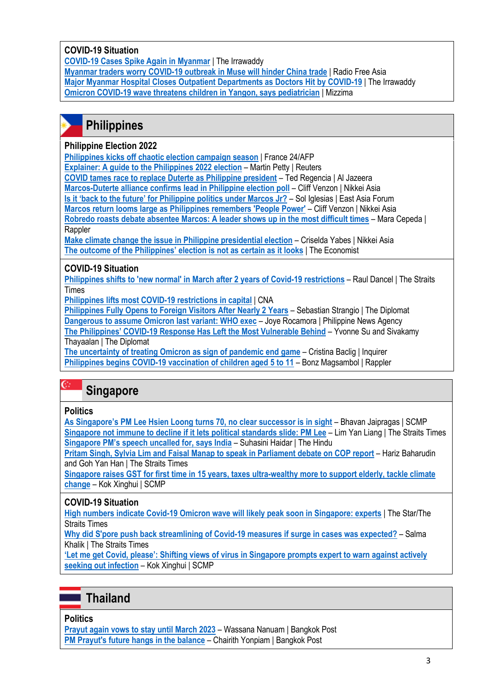#### **COVID-19 Situation**

**[COVID-19 Cases Spike Again in Myanmar](https://www.irrawaddy.com/news/burma/covid-19-cases-spike-again-in-myanmar.html)** | The Irrawaddy

**[Myanmar traders worry COVID-19 outbreak in Muse will hinder China trade](https://www.rfa.org/english/news/myanmar/china-02172022191258.html)** | Radio Free Asia **[Major Myanmar Hospital Closes Outpatient Departments as Doctors Hit by COVID-19](https://www.irrawaddy.com/news/burma/major-myanmar-hospital-closes-outpatient-departments-as-doctors-hit-by-covid-19.html)** | The Irrawaddy **[Omicron COVID-19 wave threatens children in Yangon, says pediatrician](https://www.mizzima.com/article/omicron-covid-19-wave-threatens-children-yangon-says-pediatrician)** | Mizzima

### **Philippines**

#### **Philippine Election 2022**

**[Philippines kicks off chaotic election campaign season](https://www.france24.com/en/live-news/20220208-philippines-kicks-off-chaotic-election-campaign-season-1)** | France 24/AFP

**[Explainer: A guide to the Philippines 2022 election](https://www.reuters.com/world/asia-pacific/guide-philippines-2022-election-2022-02-08/)** – Martin Petty | Reuters

**[COVID tames race to replace Duterte as Philippine president](https://www.aljazeera.com/news/2022/2/8/covid-19-tames-rowdy-race-to-be-next-president-of-the-philippines)** – Ted Regencia | Al Jazeera

**[Marcos-Duterte alliance confirms lead in Philippine election poll](https://asia.nikkei.com/Politics/Philippine-elections-2022/Marcos-Duterte-alliance-confirms-lead-in-Philippine-election-poll)** – Cliff Venzon | Nikkei Asia

**[Is it 'back to the future' for Philippine politics under Marcos Jr?](https://www.eastasiaforum.org/2022/02/18/is-it-back-to-the-future-for-philippine-politics-under-marcos-jr/)** – Sol Iglesias | East Asia Forum

**[Marcos return looms large as Philippines remembers 'People Power'](https://asia.nikkei.com/Politics/Philippine-elections-2022/Marcos-return-looms-large-as-Philippines-remembers-People-Power)** – Cliff Venzon | Nikkei Asia

**[Robredo roasts debate absentee Marcos: A leader shows up in the most difficult times](https://www.rappler.com/nation/elections/presidential-bets-roast-ferdinand-bongbong-marcos-jr-cnn-philippines-debate/)** – Mara Cepeda | Rappler

**[Make climate change the issue in Philippine presidential election](https://asia.nikkei.com/Opinion/Make-climate-change-the-issue-in-Philippine-presidential-election)** – Criselda Yabes | Nikkei Asia **[The outcome of the Philippines' election is not as certain as it looks](https://www.economist.com/asia/2022/02/12/the-outcome-of-the-philippines-election-is-not-as-certain-as-it-looks)** | The Economist

### **COVID-19 Situation**

**[Philippines shifts to 'new normal' in March after 2 years of Covid-19 restrictions](https://www.straitstimes.com/asia/se-asia/philippines-shifts-to-new-normal-in-march-after-2-years-of-covid-19-restrictions)** – Raul Dancel | The Straits Times

**[Philippines lifts most COVID-19 restrictions in capital](https://www.channelnewsasia.com/asia/philippines-lifts-most-covid-19-restrictions-capital-2523761)** | CNA

**[Philippines Fully Opens to Foreign Visitors After Nearly 2 Years](https://thediplomat.com/2022/02/philippines-fully-opens-to-foreign-visitors-after-nearly-2-years/)** – Sebastian Strangio | The Diplomat **[Dangerous to assume Omicron last variant: WHO exec](https://www.pna.gov.ph/articles/1167604)** – Joye Rocamora | Philippine News Agency **The Philippines' COVID[-19 Response Has Left the Most Vulnerable Behind](https://thediplomat.com/2022/02/the-philippines-covid-19-response-has-left-the-most-vulnerable-behind/)** – Yvonne Su and Sivakamy

Thayaalan | The Diplomat

**[The uncertainty of treating Omicron as sign of pandemic end game](https://newsinfo.inquirer.net/1548924/the-uncertainty-of-treating-omicron-as-sign-of-pandemic-end-game)** – Cristina Baclig | Inquirer **[Philippines begins COVID-19 vaccination of children aged 5 to 11](https://www.rappler.com/nation/philippines-begins-covid-19-vaccination-children-5-to-11-february-7-2022/)** – Bonz Magsambol | Rappler

## **Singapore**

#### **Politics**

 $C$  .

**As Singapore's PM Lee Hsien Loong [turns 70, no clear successor is in sight](https://www.scmp.com/week-asia/politics/article/3166493/singapores-pm-lee-hsien-loong-turns-70-no-clear-successor-sight)** – Bhavan Jaipragas | SCMP **[Singapore not immune to decline if it lets political standards slide: PM Lee](https://www.straitstimes.com/singapore/politics/singapore-not-immune-to-decline-if-it-lets-political-standards-slide-pm-lee)** – Lim Yan Liang | The Straits Times **[Singapore PM's speech](https://www.thehindu.com/news/national/criminal-mps-in-lok-sabha-india-summons-singapore-high-commissioner-pm-lee-hsien-loong-remarks/article65059719.ece) uncalled for, says India** – Suhasini Haidar | The Hindu

**[Pritam Singh, Sylvia Lim and Faisal Manap to speak in Parliament debate on COP report](https://www.straitstimes.com/singapore/pritam-singh-sylvia-lim-and-faisal-manap-to-speak-in-parliament-debate-on-cop-report-next-week)** – Hariz Baharudin and Goh Yan Han | The Straits Times

**[Singapore raises GST for first time in 15 years, taxes ultra-wealthy more to support elderly, tackle climate](https://www.scmp.com/week-asia/politics/article/3167574/singapore-raises-gst-first-time-15-years-taxes-ultra-wealthy)  [change](https://www.scmp.com/week-asia/politics/article/3167574/singapore-raises-gst-first-time-15-years-taxes-ultra-wealthy)** – Kok Xinghui | SCMP

#### **COVID-19 Situation**

**[High numbers indicate Covid-19 Omicron wave will likely peak soon in Singapore: experts](https://www.thestar.com.my/aseanplus/aseanplus-news/2022/02/23/high-numbers-indicate-covid-19-omicron-wave-will-likely-peak-soon-in-singapore-experts)** | The Star/The Straits Times

**[Why did S'pore push back streamlining of Covid-19 measures if surge in cases was expected?](https://www.straitstimes.com/singapore/health/rising-case-numbers-were-expected-so-why-did-mtf-push-back-streamlining-of-measures)** – Salma Khalik | The Straits Times

**['Let me get Covid, please': Shifting views of virus in Singapore prompts exper](https://www.scmp.com/week-asia/health-environment/article/3168286/let-me-get-covid-please-shifting-views-virus-singapore)t to warn against actively [seeking out infection](https://www.scmp.com/week-asia/health-environment/article/3168286/let-me-get-covid-please-shifting-views-virus-singapore)** – Kok Xinghui | SCMP

### **Thailand**

**Politics**

**[Prayut again vows to stay until March 2023](https://www.bangkokpost.com/thailand/politics/2270571/prayut-again-vows-to-stay-until-march-2023)** – Wassana Nanuam | Bangkok Post **[PM Prayut's future hangs in the balance](https://www.bangkokpost.com/opinion/opinion/2270235/pm-prayuts-future-hangs-in-the-balance)** – Chairith Yonpiam | Bangkok Post